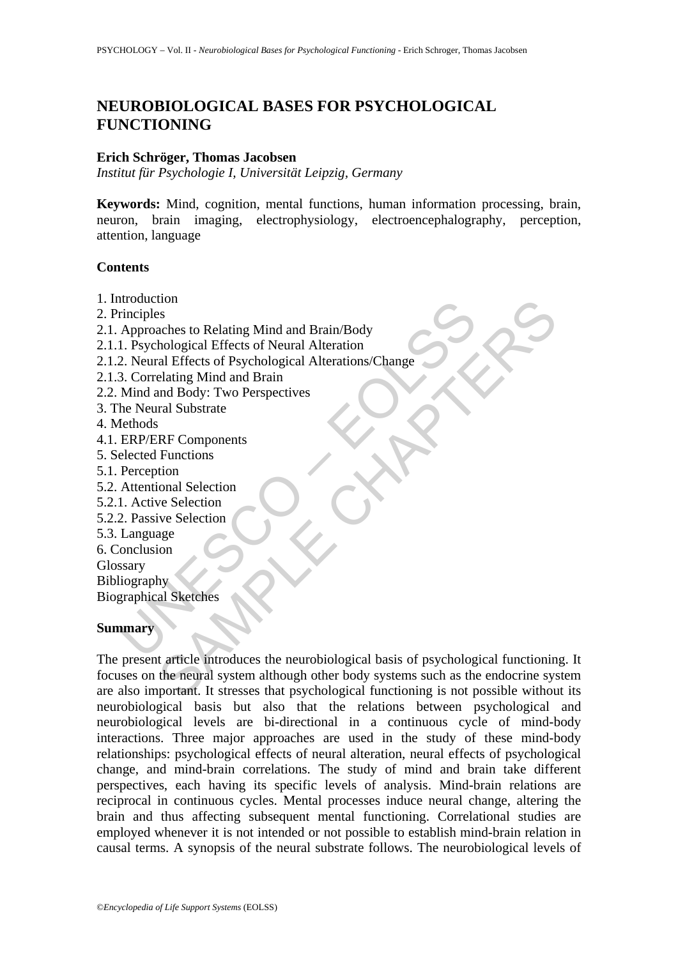# **NEUROBIOLOGICAL BASES FOR PSYCHOLOGICAL FUNCTIONING**

#### **Erich Schröger, Thomas Jacobsen**

*Institut für Psychologie I, Universität Leipzig, Germany* 

**Keywords:** Mind, cognition, mental functions, human information processing, brain, neuron, brain imaging, electrophysiology, electroencephalography, perception, attention, language

#### **Contents**

- 1. Introduction
- 2. Principles
- 2.1. Approaches to Relating Mind and Brain/Body
- 2.1.1. Psychological Effects of Neural Alteration
- moduction<br>
inciples<br>
Approaches to Relating Mind and Brain/Body<br>
1. Psychological Effects of Neural Alteration<br>
2. Neural Effects of Psychological Alterations/Change<br>
3. Correlating Mind and Brain<br>
3. Correlating Mind and 2.1.2. Neural Effects of Psychological Alterations/Change
- 2.1.3. Correlating Mind and Brain
- 2.2. Mind and Body: Two Perspectives
- 3. The Neural Substrate
- 4. Methods
- 4.1. ERP/ERF Components
- 5. Selected Functions
- 5.1. Perception
- 5.2. Attentional Selection
- 5.2.1. Active Selection
- 5.2.2. Passive Selection
- 5.3. Language
- 6. Conclusion
- Glossary

**Bibliography** 

Biographical Sketches

### **Summary**

to Relating Mind and Brain/Body<br>
aches to Relating Mind and Brain/Body<br>
hological Effects of Nevarla Alterations/Change<br>
elating Mind and Brain<br>
and Body: Two Perspectives<br>
Functions<br>
FRF Components<br>
Functions<br>
we Selectio The present article introduces the neurobiological basis of psychological functioning. It focuses on the neural system although other body systems such as the endocrine system are also important. It stresses that psychological functioning is not possible without its neurobiological basis but also that the relations between psychological and neurobiological levels are bi-directional in a continuous cycle of mind-body interactions. Three major approaches are used in the study of these mind-body relationships: psychological effects of neural alteration, neural effects of psychological change, and mind-brain correlations. The study of mind and brain take different perspectives, each having its specific levels of analysis. Mind-brain relations are reciprocal in continuous cycles. Mental processes induce neural change, altering the brain and thus affecting subsequent mental functioning. Correlational studies are employed whenever it is not intended or not possible to establish mind-brain relation in causal terms. A synopsis of the neural substrate follows. The neurobiological levels of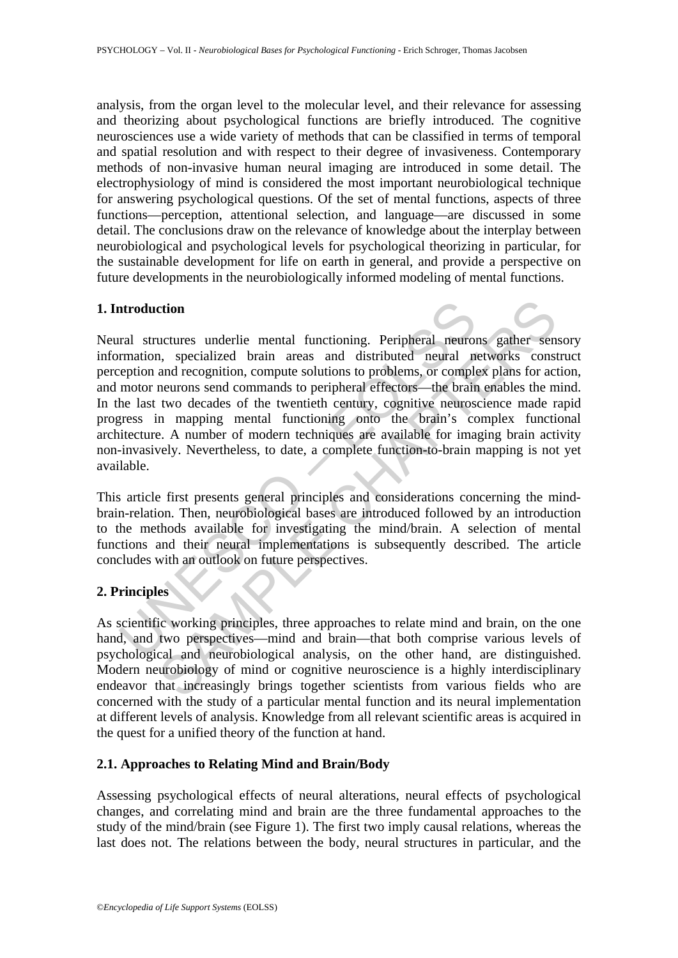analysis, from the organ level to the molecular level, and their relevance for assessing and theorizing about psychological functions are briefly introduced. The cognitive neurosciences use a wide variety of methods that can be classified in terms of temporal and spatial resolution and with respect to their degree of invasiveness. Contemporary methods of non-invasive human neural imaging are introduced in some detail. The electrophysiology of mind is considered the most important neurobiological technique for answering psychological questions. Of the set of mental functions, aspects of three functions—perception, attentional selection, and language—are discussed in some detail. The conclusions draw on the relevance of knowledge about the interplay between neurobiological and psychological levels for psychological theorizing in particular, for the sustainable development for life on earth in general, and provide a perspective on future developments in the neurobiologically informed modeling of mental functions.

#### **1. Introduction**

ntroduction<br>
and structures underlie mental functioning. Peripheral neurom<br>
rmation, specialized brain areas and distributed neural m<br>
reprion and recognition, compute solutions to problems, or comple<br>
motor neurons send c ction<br>
actures underlie mental functioning. Peripheral neurons gather sen,<br>
a, specialized brain areas and distributed neural networks const<br>
and recognition, compute solutions to problems, or complex plans for act<br>
neuron Neural structures underlie mental functioning. Peripheral neurons gather sensory information, specialized brain areas and distributed neural networks construct perception and recognition, compute solutions to problems, or complex plans for action, and motor neurons send commands to peripheral effectors—the brain enables the mind. In the last two decades of the twentieth century, cognitive neuroscience made rapid progress in mapping mental functioning onto the brain's complex functional architecture. A number of modern techniques are available for imaging brain activity non-invasively. Nevertheless, to date, a complete function-to-brain mapping is not yet available.

This article first presents general principles and considerations concerning the mindbrain-relation. Then, neurobiological bases are introduced followed by an introduction to the methods available for investigating the mind/brain. A selection of mental functions and their neural implementations is subsequently described. The article concludes with an outlook on future perspectives.

### **2. Principles**

As scientific working principles, three approaches to relate mind and brain, on the one hand, and two perspectives—mind and brain—that both comprise various levels of psychological and neurobiological analysis, on the other hand, are distinguished. Modern neurobiology of mind or cognitive neuroscience is a highly interdisciplinary endeavor that increasingly brings together scientists from various fields who are concerned with the study of a particular mental function and its neural implementation at different levels of analysis. Knowledge from all relevant scientific areas is acquired in the quest for a unified theory of the function at hand.

#### **2.1. Approaches to Relating Mind and Brain/Body**

Assessing psychological effects of neural alterations, neural effects of psychological changes, and correlating mind and brain are the three fundamental approaches to the study of the mind/brain (see Figure 1). The first two imply causal relations, whereas the last does not. The relations between the body, neural structures in particular, and the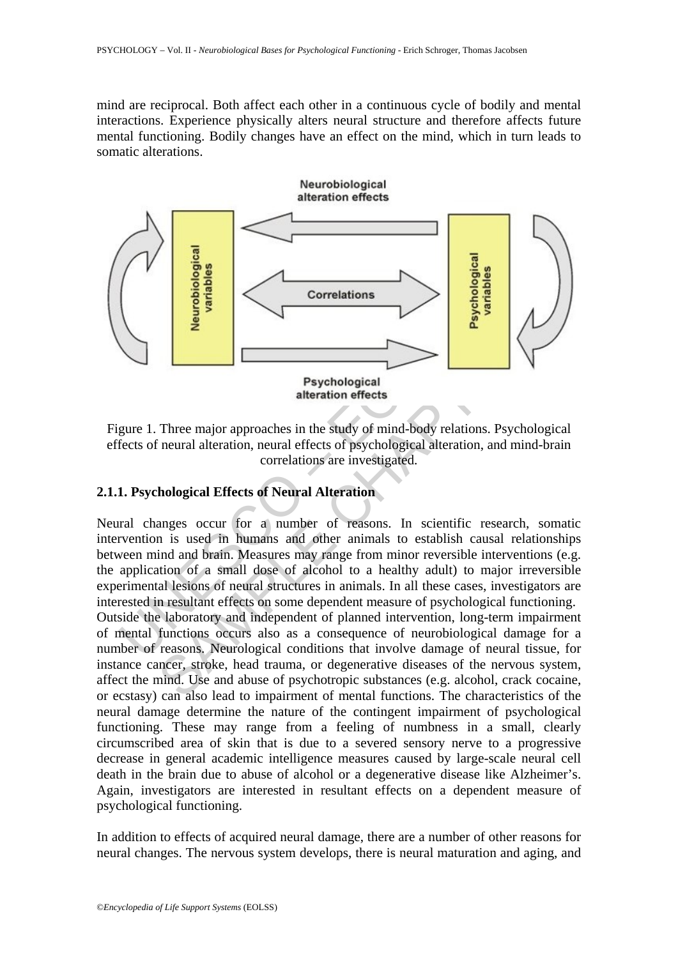mind are reciprocal. Both affect each other in a continuous cycle of bodily and mental interactions. Experience physically alters neural structure and therefore affects future mental functioning. Bodily changes have an effect on the mind, which in turn leads to somatic alterations.



Figure 1. Three major approaches in the study of mind-body relations. Psychological effects of neural alteration, neural effects of psychological alteration, and mind-brain correlations are investigated.

# **2.1.1. Psychological Effects of Neural Alteration**

Neural changes occur for a number of reasons. In scientific research, somatic intervention is used in humans and other animals to establish causal relationships between mind and brain. Measures may range from minor reversible interventions (e.g. the application of a small dose of alcohol to a healthy adult) to major irreversible experimental lesions of neural structures in animals. In all these cases, investigators are interested in resultant effects on some dependent measure of psychological functioning. Outside the laboratory and independent of planned intervention, long-term impairment

of mental functions occurs also as a consequence of neurobiological damage for a number of reasons. Neurological conditions that involve damage of neural tissue, for instance cancer, stroke, head trauma, or degenerative diseases of the nervous system, affect the mind. Use and abuse of psychotropic substances (e.g. alcohol, crack cocaine, or ecstasy) can also lead to impairment of mental functions. The characteristics of the neural damage determine the nature of the contingent impairment of psychological functioning. These may range from a feeling of numbness in a small, clearly circumscribed area of skin that is due to a severed sensory nerve to a progressive decrease in general academic intelligence measures caused by large-scale neural cell death in the brain due to abuse of alcohol or a degenerative disease like Alzheimer's. Again, investigators are interested in resultant effects on a dependent measure of psychological functioning.

In addition to effects of acquired neural damage, there are a number of other reasons for neural changes. The nervous system develops, there is neural maturation and aging, and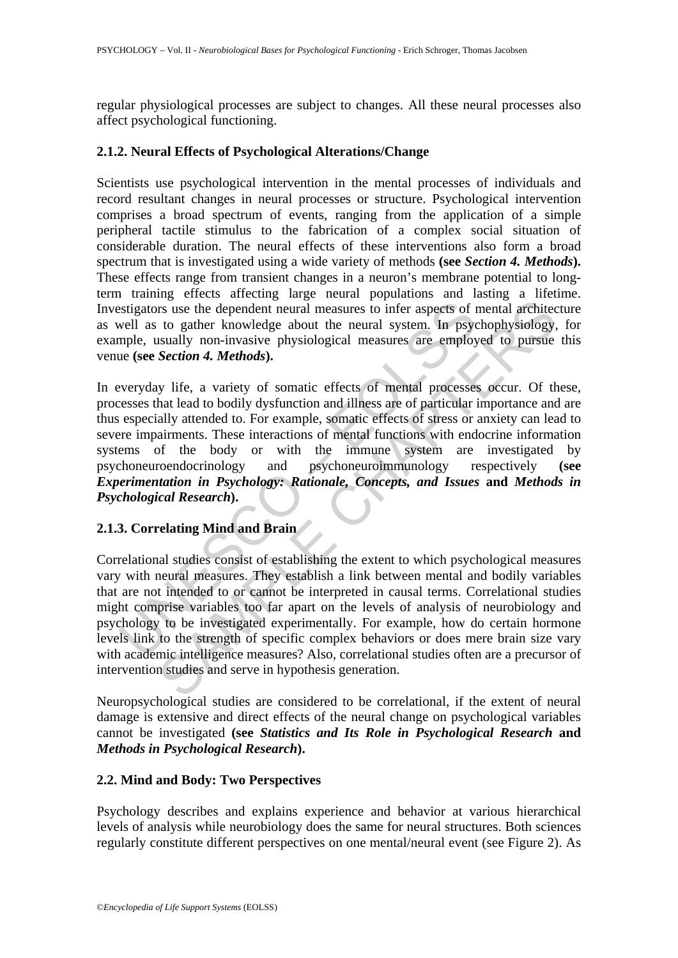regular physiological processes are subject to changes. All these neural processes also affect psychological functioning.

#### **2.1.2. Neural Effects of Psychological Alterations/Change**

Scientists use psychological intervention in the mental processes of individuals and record resultant changes in neural processes or structure. Psychological intervention comprises a broad spectrum of events, ranging from the application of a simple peripheral tactile stimulus to the fabrication of a complex social situation of considerable duration. The neural effects of these interventions also form a broad spectrum that is investigated using a wide variety of methods **(see** *Section 4. Methods***).** These effects range from transient changes in a neuron's membrane potential to longterm training effects affecting large neural populations and lasting a lifetime. Investigators use the dependent neural measures to infer aspects of mental architecture as well as to gather knowledge about the neural system. In psychophysiology, for example, usually non-invasive physiological measures are employed to pursue this venue **(see** *Section 4. Methods***).** 

estigators use the dependent neural measures to infer aspects of r<br>well as to gather knowledge about the neural system. In psycopple, usually non-invasive physiological measures are employ<br>neple, usually non-invasive physi mental measures the dependent neural measures to infer aspects of mental architecto gather knowledge about the neural system. In psychophysiology, staully non-invasive physiological measures are employed to pursue *Section* In everyday life, a variety of somatic effects of mental processes occur. Of these, processes that lead to bodily dysfunction and illness are of particular importance and are thus especially attended to. For example, somatic effects of stress or anxiety can lead to severe impairments. These interactions of mental functions with endocrine information systems of the body or with the immune system are investigated by psychoneuroendocrinology and psychoneuroimmunology respectively **(see**  *Experimentation in Psychology: Rationale, Concepts, and Issues* **and** *Methods in Psychological Research***).** 

## **2.1.3. Correlating Mind and Brain**

Correlational studies consist of establishing the extent to which psychological measures vary with neural measures. They establish a link between mental and bodily variables that are not intended to or cannot be interpreted in causal terms. Correlational studies might comprise variables too far apart on the levels of analysis of neurobiology and psychology to be investigated experimentally. For example, how do certain hormone levels link to the strength of specific complex behaviors or does mere brain size vary with academic intelligence measures? Also, correlational studies often are a precursor of intervention studies and serve in hypothesis generation.

Neuropsychological studies are considered to be correlational, if the extent of neural damage is extensive and direct effects of the neural change on psychological variables cannot be investigated **(see** *Statistics and Its Role in Psychological Research* **and**  *Methods in Psychological Research***).** 

### **2.2. Mind and Body: Two Perspectives**

Psychology describes and explains experience and behavior at various hierarchical levels of analysis while neurobiology does the same for neural structures. Both sciences regularly constitute different perspectives on one mental/neural event (see Figure 2). As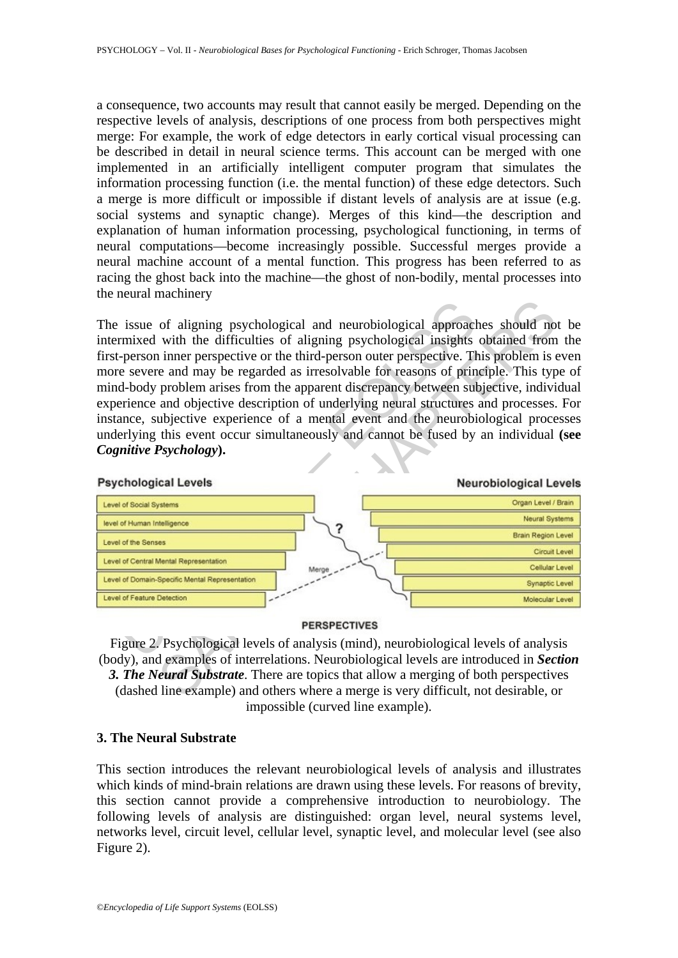a consequence, two accounts may result that cannot easily be merged. Depending on the respective levels of analysis, descriptions of one process from both perspectives might merge: For example, the work of edge detectors in early cortical visual processing can be described in detail in neural science terms. This account can be merged with one implemented in an artificially intelligent computer program that simulates the information processing function (i.e. the mental function) of these edge detectors. Such a merge is more difficult or impossible if distant levels of analysis are at issue (e.g. social systems and synaptic change). Merges of this kind—the description and explanation of human information processing, psychological functioning, in terms of neural computations—become increasingly possible. Successful merges provide a neural machine account of a mental function. This progress has been referred to as racing the ghost back into the machine—the ghost of non-bodily, mental processes into the neural machinery

The issue of aligning psychological and neurobiological approaches should not be intermixed with the difficulties of aligning psychological insights obtained from the first-person inner perspective or the third-person outer perspective. This problem is even more severe and may be regarded as irresolvable for reasons of principle. This type of mind-body problem arises from the apparent discrepancy between subjective, individual experience and objective description of underlying neural structures and processes. For instance, subjective experience of a mental event and the neurobiological processes underlying this event occur simultaneously and cannot be fused by an individual **(see**  *Cognitive Psychology***).**



Figure 2. Psychological levels of analysis (mind), neurobiological levels of analysis (body), and examples of interrelations. Neurobiological levels are introduced in *Section 3. The Neural Substrate*. There are topics that allow a merging of both perspectives (dashed line example) and others where a merge is very difficult, not desirable, or impossible (curved line example).

#### **3. The Neural Substrate**

This section introduces the relevant neurobiological levels of analysis and illustrates which kinds of mind-brain relations are drawn using these levels. For reasons of brevity, this section cannot provide a comprehensive introduction to neurobiology. The following levels of analysis are distinguished: organ level, neural systems level, networks level, circuit level, cellular level, synaptic level, and molecular level (see also Figure 2).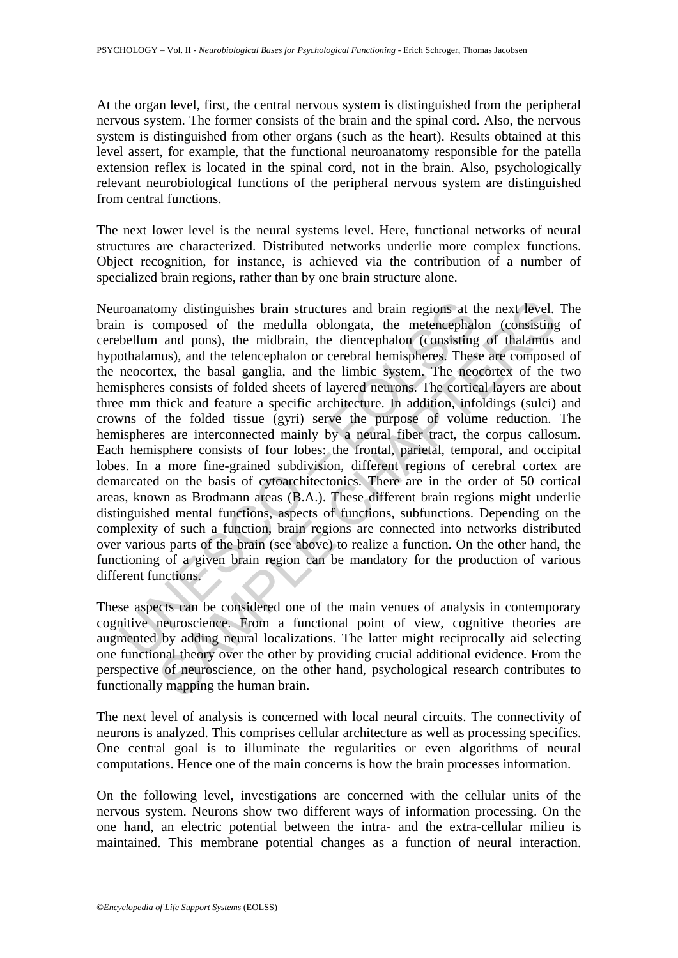At the organ level, first, the central nervous system is distinguished from the peripheral nervous system. The former consists of the brain and the spinal cord. Also, the nervous system is distinguished from other organs (such as the heart). Results obtained at this level assert, for example, that the functional neuroanatomy responsible for the patella extension reflex is located in the spinal cord, not in the brain. Also, psychologically relevant neurobiological functions of the peripheral nervous system are distinguished from central functions.

The next lower level is the neural systems level. Here, functional networks of neural structures are characterized. Distributed networks underlie more complex functions. Object recognition, for instance, is achieved via the contribution of a number of specialized brain regions, rather than by one brain structure alone.

roanatomy distinguishes brain structures and brain regions at the nies composed of the medulla oblongata, the metencephalbellum and pons), the midbrain, the diencephalon (consisting othalamus), and the telencephalon or cer my distinguishes brain structures and brain regions at the next level.<br>composed of the medulla oblongata, the metencephalon (consisting<br>and pons), the middrain, the diencephalon (consisting of thalamus)<br>and the telencephal Neuroanatomy distinguishes brain structures and brain regions at the next level. The brain is composed of the medulla oblongata, the metencephalon (consisting of cerebellum and pons), the midbrain, the diencephalon (consisting of thalamus and hypothalamus), and the telencephalon or cerebral hemispheres. These are composed of the neocortex, the basal ganglia, and the limbic system. The neocortex of the two hemispheres consists of folded sheets of layered neurons. The cortical layers are about three mm thick and feature a specific architecture. In addition, infoldings (sulci) and crowns of the folded tissue (gyri) serve the purpose of volume reduction. The hemispheres are interconnected mainly by a neural fiber tract, the corpus callosum. Each hemisphere consists of four lobes: the frontal, parietal, temporal, and occipital lobes. In a more fine-grained subdivision, different regions of cerebral cortex are demarcated on the basis of cytoarchitectonics. There are in the order of 50 cortical areas, known as Brodmann areas (B.A.). These different brain regions might underlie distinguished mental functions, aspects of functions, subfunctions. Depending on the complexity of such a function, brain regions are connected into networks distributed over various parts of the brain (see above) to realize a function. On the other hand, the functioning of a given brain region can be mandatory for the production of various different functions.

These aspects can be considered one of the main venues of analysis in contemporary cognitive neuroscience. From a functional point of view, cognitive theories are augmented by adding neural localizations. The latter might reciprocally aid selecting one functional theory over the other by providing crucial additional evidence. From the perspective of neuroscience, on the other hand, psychological research contributes to functionally mapping the human brain.

The next level of analysis is concerned with local neural circuits. The connectivity of neurons is analyzed. This comprises cellular architecture as well as processing specifics. One central goal is to illuminate the regularities or even algorithms of neural computations. Hence one of the main concerns is how the brain processes information.

On the following level, investigations are concerned with the cellular units of the nervous system. Neurons show two different ways of information processing. On the one hand, an electric potential between the intra- and the extra-cellular milieu is maintained. This membrane potential changes as a function of neural interaction.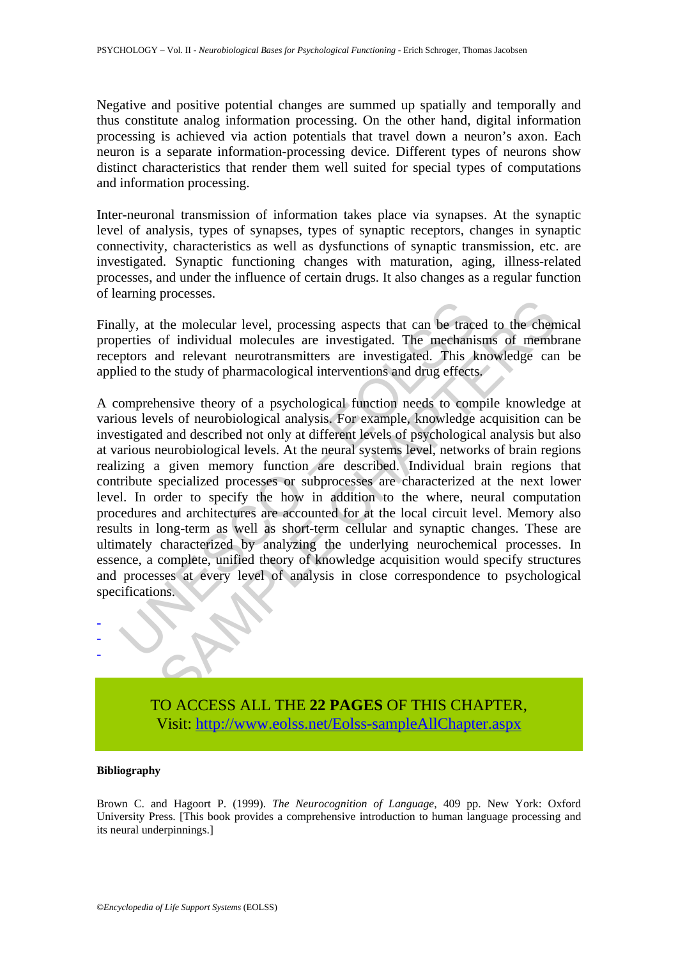Negative and positive potential changes are summed up spatially and temporally and thus constitute analog information processing. On the other hand, digital information processing is achieved via action potentials that travel down a neuron's axon. Each neuron is a separate information-processing device. Different types of neurons show distinct characteristics that render them well suited for special types of computations and information processing.

Inter-neuronal transmission of information takes place via synapses. At the synaptic level of analysis, types of synapses, types of synaptic receptors, changes in synaptic connectivity, characteristics as well as dysfunctions of synaptic transmission, etc. are investigated. Synaptic functioning changes with maturation, aging, illness-related processes, and under the influence of certain drugs. It also changes as a regular function of learning processes.

Finally, at the molecular level, processing aspects that can be traced to the chemical properties of individual molecules are investigated. The mechanisms of membrane receptors and relevant neurotransmitters are investigated. This knowledge can be applied to the study of pharmacological interventions and drug effects.

Leader is the molecular level, processing aspects that can be tracementies of individual molecules are investigated. The mechanity prosess are investigated. This kield to the study of pharmacological interventions and drug Fractional revel, processing aspects that can be traced to the chemote of individual molecules are investigated. The mechanisms of members and relevant neurotransmitters are investigated. This knowledge can and relevant ne A comprehensive theory of a psychological function needs to compile knowledge at various levels of neurobiological analysis. For example, knowledge acquisition can be investigated and described not only at different levels of psychological analysis but also at various neurobiological levels. At the neural systems level, networks of brain regions realizing a given memory function are described. Individual brain regions that contribute specialized processes or subprocesses are characterized at the next lower level. In order to specify the how in addition to the where, neural computation procedures and architectures are accounted for at the local circuit level. Memory also results in long-term as well as short-term cellular and synaptic changes. These are ultimately characterized by analyzing the underlying neurochemical processes. In essence, a complete, unified theory of knowledge acquisition would specify structures and processes at every level of analysis in close correspondence to psychological specifications.



#### **Bibliography**

- - -

Brown C. and Hagoort P. (1999). *The Neurocognition of Language*, 409 pp. New York: Oxford University Press. [This book provides a comprehensive introduction to human language processing and its neural underpinnings.]